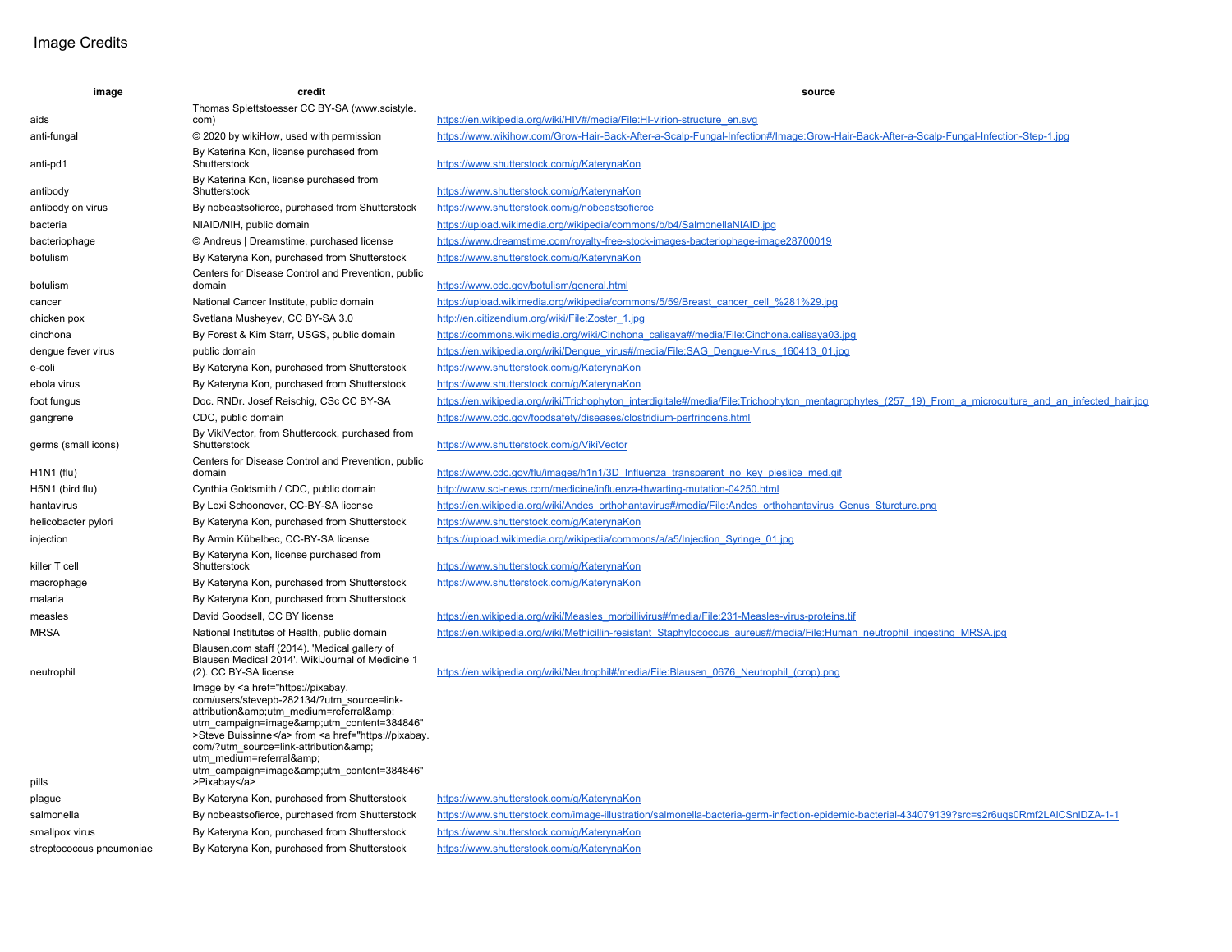## Image Credits

| image                    | credit                                                                                                                                                                                                                                                                                                                                                                                                                   | source                                                                                                                                                 |
|--------------------------|--------------------------------------------------------------------------------------------------------------------------------------------------------------------------------------------------------------------------------------------------------------------------------------------------------------------------------------------------------------------------------------------------------------------------|--------------------------------------------------------------------------------------------------------------------------------------------------------|
|                          | Thomas Splettstoesser CC BY-SA (www.scistyle.                                                                                                                                                                                                                                                                                                                                                                            |                                                                                                                                                        |
| aids                     | com)                                                                                                                                                                                                                                                                                                                                                                                                                     | https://en.wikipedia.org/wiki/HIV#/media/File:HI-virion-structure_en.svg                                                                               |
| anti-fungal              | © 2020 by wikiHow, used with permission                                                                                                                                                                                                                                                                                                                                                                                  | https://www.wikihow.com/Grow-Hair-Back-After-a-Scalp-Fungal-Infection#/Image:Grow-Hair-Back-After-a-Scalp-Fungal-Infection-Step-1.jpg                  |
| anti-pd1                 | By Katerina Kon, license purchased from<br>Shutterstock                                                                                                                                                                                                                                                                                                                                                                  | https://www.shutterstock.com/q/KaterynaKon                                                                                                             |
| antibody                 | By Katerina Kon, license purchased from<br>Shutterstock                                                                                                                                                                                                                                                                                                                                                                  | https://www.shutterstock.com/g/KaterynaKon                                                                                                             |
| antibody on virus        | By nobeasts ofierce, purchased from Shutterstock                                                                                                                                                                                                                                                                                                                                                                         | https://www.shutterstock.com/g/nobeastsofierce                                                                                                         |
| bacteria                 | NIAID/NIH, public domain                                                                                                                                                                                                                                                                                                                                                                                                 | https://upload.wikimedia.org/wikipedia/commons/b/b4/SalmonellaNIAID.jpg                                                                                |
| bacteriophage            | © Andreus   Dreamstime, purchased license                                                                                                                                                                                                                                                                                                                                                                                | https://www.dreamstime.com/royalty-free-stock-images-bacteriophage-image28700019                                                                       |
| botulism                 | By Kateryna Kon, purchased from Shutterstock                                                                                                                                                                                                                                                                                                                                                                             | https://www.shutterstock.com/g/KaterynaKon                                                                                                             |
| botulism                 | Centers for Disease Control and Prevention, public<br>domain                                                                                                                                                                                                                                                                                                                                                             | https://www.cdc.gov/botulism/general.html                                                                                                              |
| cancer                   | National Cancer Institute, public domain                                                                                                                                                                                                                                                                                                                                                                                 | https://upload.wikimedia.org/wikipedia/commons/5/59/Breast cancer cell %281%29.jpq                                                                     |
| chicken pox              | Svetlana Musheyev, CC BY-SA 3.0                                                                                                                                                                                                                                                                                                                                                                                          | http://en.citizendium.org/wiki/File:Zoster 1.jpg                                                                                                       |
| cinchona                 | By Forest & Kim Starr, USGS, public domain                                                                                                                                                                                                                                                                                                                                                                               | https://commons.wikimedia.org/wiki/Cinchona_calisaya#/media/File:Cinchona.calisaya03.jpg                                                               |
| dengue fever virus       | public domain                                                                                                                                                                                                                                                                                                                                                                                                            | https://en.wikipedia.org/wiki/Dengue virus#/media/File:SAG Dengue-Virus 160413 01.jpg                                                                  |
| e-coli                   | By Kateryna Kon, purchased from Shutterstock                                                                                                                                                                                                                                                                                                                                                                             | https://www.shutterstock.com/g/KaterynaKon                                                                                                             |
| ebola virus              | By Kateryna Kon, purchased from Shutterstock                                                                                                                                                                                                                                                                                                                                                                             | https://www.shutterstock.com/g/KaterynaKon                                                                                                             |
| foot fungus              | Doc. RNDr. Josef Reischig, CSc CC BY-SA                                                                                                                                                                                                                                                                                                                                                                                  | https://en.wikipedia.org/wiki/Trichophyton interdigitale#/media/File:Trichophyton mentagrophytes (257 19) From a microculture and an infected hair.jpg |
| gangrene                 | CDC, public domain                                                                                                                                                                                                                                                                                                                                                                                                       | https://www.cdc.gov/foodsafety/diseases/clostridium-perfringens.html                                                                                   |
| germs (small icons)      | By VikiVector, from Shuttercock, purchased from<br>Shutterstock                                                                                                                                                                                                                                                                                                                                                          | https://www.shutterstock.com/g/VikiVector                                                                                                              |
|                          | Centers for Disease Control and Prevention, public                                                                                                                                                                                                                                                                                                                                                                       |                                                                                                                                                        |
| $H1N1$ (flu)             | domain                                                                                                                                                                                                                                                                                                                                                                                                                   | https://www.cdc.gov/flu/images/h1n1/3D Influenza transparent no key pieslice med.gif                                                                   |
| H5N1 (bird flu)          | Cynthia Goldsmith / CDC, public domain                                                                                                                                                                                                                                                                                                                                                                                   | http://www.sci-news.com/medicine/influenza-thwarting-mutation-04250.html                                                                               |
| hantavirus               | By Lexi Schoonover, CC-BY-SA license                                                                                                                                                                                                                                                                                                                                                                                     | https://en.wikipedia.org/wiki/Andes_orthohantavirus#/media/File:Andes_orthohantavirus_Genus_Sturcture.png                                              |
| helicobacter pylori      | By Kateryna Kon, purchased from Shutterstock                                                                                                                                                                                                                                                                                                                                                                             | https://www.shutterstock.com/g/KaterynaKon                                                                                                             |
| injection                | By Armin Kübelbec, CC-BY-SA license                                                                                                                                                                                                                                                                                                                                                                                      | https://upload.wikimedia.org/wikipedia/commons/a/a5/Injection Syringe 01.jpg                                                                           |
| killer T cell            | By Kateryna Kon, license purchased from<br>Shutterstock                                                                                                                                                                                                                                                                                                                                                                  | https://www.shutterstock.com/g/KaterynaKon                                                                                                             |
| macrophage               | By Kateryna Kon, purchased from Shutterstock                                                                                                                                                                                                                                                                                                                                                                             | https://www.shutterstock.com/q/KaterynaKon                                                                                                             |
| malaria                  | By Kateryna Kon, purchased from Shutterstock                                                                                                                                                                                                                                                                                                                                                                             |                                                                                                                                                        |
| measles                  | David Goodsell, CC BY license                                                                                                                                                                                                                                                                                                                                                                                            | https://en.wikipedia.org/wiki/Measles_morbillivirus#/media/File:231-Measles-virus-proteins.tif                                                         |
| <b>MRSA</b>              | National Institutes of Health, public domain                                                                                                                                                                                                                                                                                                                                                                             | https://en.wikipedia.org/wiki/Methicillin-resistant Staphylococcus aureus#/media/File:Human neutrophil ingesting MRSA.jpg                              |
| neutrophil               | Blausen.com staff (2014). 'Medical gallery of<br>Blausen Medical 2014'. WikiJournal of Medicine 1<br>(2). CC BY-SA license                                                                                                                                                                                                                                                                                               | https://en.wikipedia.org/wiki/Neutrophil#/media/File:Blausen 0676 Neutrophil (crop).png                                                                |
|                          | Image by <a <br="" href="https://pixabay.&lt;br&gt;com/users/stevepb-282134/?utm_source=link-&lt;br&gt;attribution&amp;utm_medium=referral&amp;&lt;br&gt;utm campaign=image&amp;utm content=384846">&gt;Steve Buissinne</a> from <a <="" href="https://pixabay.&lt;br&gt;com/?utm_source=link-attribution&amp;&lt;br&gt;utm medium=referral&amp;&lt;br&gt;utm campaign=image&amp;utm content=384846" td=""><td></td></a> |                                                                                                                                                        |
| pills                    | >Pixabay                                                                                                                                                                                                                                                                                                                                                                                                                 |                                                                                                                                                        |
| plague                   | By Kateryna Kon, purchased from Shutterstock                                                                                                                                                                                                                                                                                                                                                                             | https://www.shutterstock.com/g/KaterynaKon                                                                                                             |
| salmonella               | By nobeasts ofierce, purchased from Shutterstock                                                                                                                                                                                                                                                                                                                                                                         | https://www.shutterstock.com/image-illustration/salmonella-bacteria-germ-infection-epidemic-bacterial-434079139?src=s2r6ugs0Rmf2LAICSnIDZA-1-1         |
| smallpox virus           | By Kateryna Kon, purchased from Shutterstock                                                                                                                                                                                                                                                                                                                                                                             | https://www.shutterstock.com/g/KaterynaKon                                                                                                             |
| streptococcus pneumoniae | By Kateryna Kon, purchased from Shutterstock                                                                                                                                                                                                                                                                                                                                                                             | https://www.shutterstock.com/q/KaterynaKon                                                                                                             |